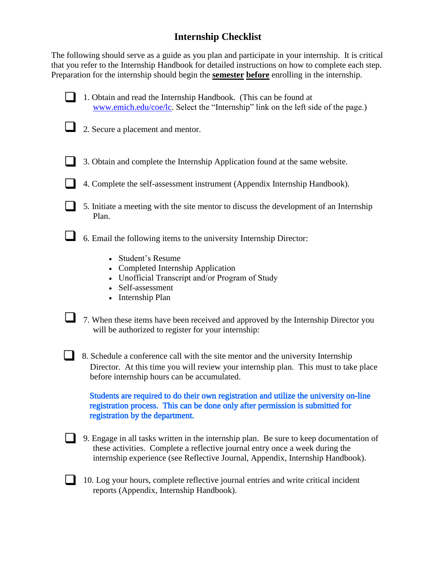## **Internship Checklist**

The following should serve as a guide as you plan and participate in your internship. It is critical that you refer to the Internship Handbook for detailed instructions on how to complete each step. Preparation for the internship should begin the **semester before** enrolling in the internship.

- 1. Obtain and read the Internship Handbook. (This can be found at [www.emich.edu/coe/lc.](http://www.emich.edu/coe/lc) Select the "Internship" link on the left side of the page.)
- 2. Secure a placement and mentor.
	- 3. Obtain and complete the Internship Application found at the same website.
	- 4. Complete the self-assessment instrument (Appendix Internship Handbook).
- 5. Initiate a meeting with the site mentor to discuss the development of an Internship Plan.

6. Email the following items to the university Internship Director:

- Student's Resume
- Completed Internship Application
- Unofficial Transcript and/or Program of Study
- Self-assessment
- Internship Plan
- 7. When these items have been received and approved by the Internship Director you will be authorized to register for your internship:
- 8. Schedule a conference call with the site mentor and the university Internship Director. At this time you will review your internship plan. This must to take place before internship hours can be accumulated.

Students are required to do their own registration and utilize the university on-line registration process. This can be done only after permission is submitted for registration by the department.

- 9. Engage in all tasks written in the internship plan. Be sure to keep documentation of these activities. Complete a reflective journal entry once a week during the internship experience (see Reflective Journal, Appendix, Internship Handbook).
- 10. Log your hours, complete reflective journal entries and write critical incident reports (Appendix, Internship Handbook).